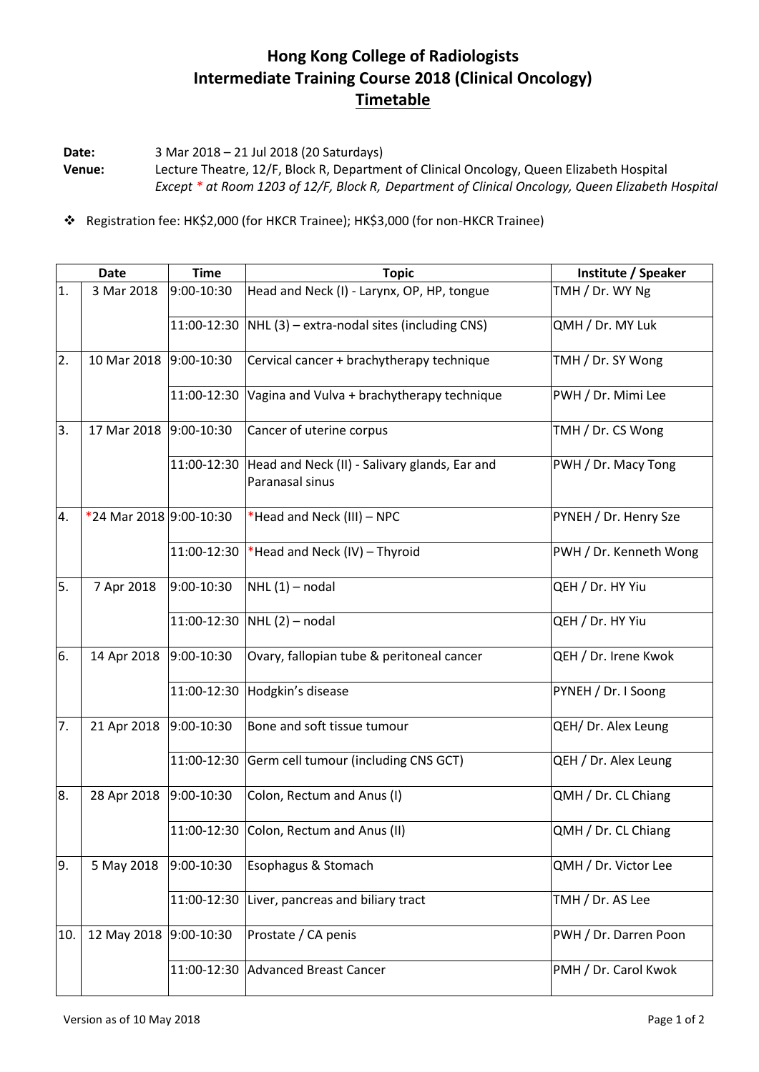## **Hong Kong College of Radiologists Intermediate Training Course 2018 (Clinical Oncology) Timetable**

**Date:** 3 Mar 2018 – 21 Jul 2018 (20 Saturdays) **Venue:** Lecture Theatre, 12/F, Block R, Department of Clinical Oncology, Queen Elizabeth Hospital *Except \* at Room 1203 of 12/F, Block R, Department of Clinical Oncology, Queen Elizabeth Hospital*

Registration fee: HK\$2,000 (for HKCR Trainee); HK\$3,000 (for non-HKCR Trainee)

|     | <b>Date</b>             | <b>Time</b>  | <b>Topic</b>                                                     | Institute / Speaker    |
|-----|-------------------------|--------------|------------------------------------------------------------------|------------------------|
| 1.  | 3 Mar 2018              | 9:00-10:30   | Head and Neck (I) - Larynx, OP, HP, tongue                       | TMH / Dr. WY Ng        |
|     |                         | 11:00-12:30  | $NHL$ (3) – extra-nodal sites (including CNS)                    | QMH / Dr. MY Luk       |
| 2.  | 10 Mar 2018             | 9:00-10:30   | Cervical cancer + brachytherapy technique                        | TMH / Dr. SY Wong      |
|     |                         | 11:00-12:30  | Vagina and Vulva + brachytherapy technique                       | PWH / Dr. Mimi Lee     |
| 3.  | 17 Mar 2018             | 9:00-10:30   | Cancer of uterine corpus                                         | TMH / Dr. CS Wong      |
|     |                         | 11:00-12:30  | Head and Neck (II) - Salivary glands, Ear and<br>Paranasal sinus | PWH / Dr. Macy Tong    |
| 4.  | *24 Mar 2018 9:00-10:30 |              | *Head and Neck (III) - NPC                                       | PYNEH / Dr. Henry Sze  |
|     |                         | 11:00-12:30  | *Head and Neck (IV) - Thyroid                                    | PWH / Dr. Kenneth Wong |
| 5.  | 7 Apr 2018              | 9:00-10:30   | $NHL(1)$ – nodal                                                 | QEH / Dr. HY Yiu       |
|     |                         | 11:00-12:30  | $NHL(2)$ – nodal                                                 | QEH / Dr. HY Yiu       |
| 6.  | 14 Apr 2018             | 9:00-10:30   | Ovary, fallopian tube & peritoneal cancer                        | QEH / Dr. Irene Kwok   |
|     |                         | 11:00-12:30  | Hodgkin's disease                                                | PYNEH / Dr. I Soong    |
| 7.  | 21 Apr 2018             | 9:00-10:30   | Bone and soft tissue tumour                                      | QEH/ Dr. Alex Leung    |
|     |                         | 11:00-12:30  | Germ cell tumour (including CNS GCT)                             | QEH / Dr. Alex Leung   |
| 8.  | 28 Apr 2018             | 9:00-10:30   | Colon, Rectum and Anus (I)                                       | QMH / Dr. CL Chiang    |
|     |                         |              | 11:00-12:30 Colon, Rectum and Anus (II)                          | QMH / Dr. CL Chiang    |
| 9.  | 5 May 2018              | 9:00-10:30   | Esophagus & Stomach                                              | QMH / Dr. Victor Lee   |
|     |                         | 11:00-12:30  | Liver, pancreas and biliary tract                                | TMH / Dr. AS Lee       |
| 10. | 12 May 2018             | $9:00-10:30$ | Prostate / CA penis                                              | PWH / Dr. Darren Poon  |
|     |                         | 11:00-12:30  | Advanced Breast Cancer                                           | PMH / Dr. Carol Kwok   |